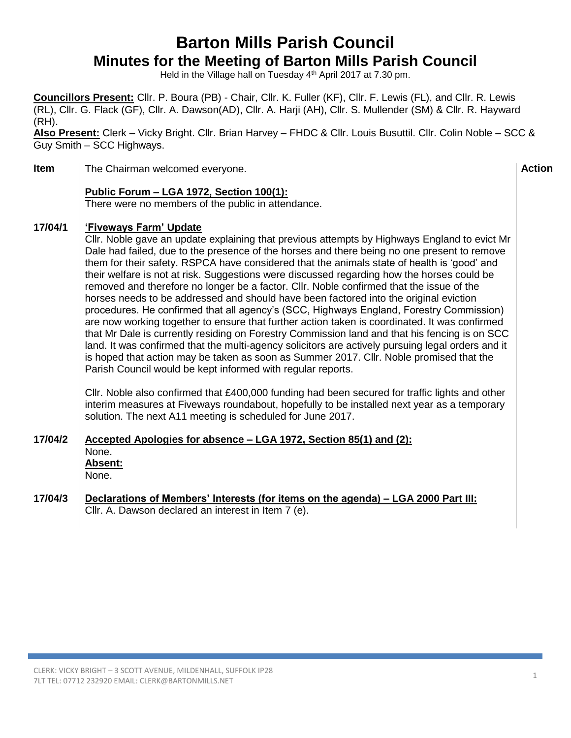## **Barton Mills Parish Council Minutes for the Meeting of Barton Mills Parish Council**

Held in the Village hall on Tuesday 4<sup>th</sup> April 2017 at 7.30 pm.

**Councillors Present:** Cllr. P. Boura (PB) - Chair, Cllr. K. Fuller (KF), Cllr. F. Lewis (FL), and Cllr. R. Lewis (RL), Cllr. G. Flack (GF), Cllr. A. Dawson(AD), Cllr. A. Harji (AH), Cllr. S. Mullender (SM) & Cllr. R. Hayward (RH).

**Also Present:** Clerk – Vicky Bright. Cllr. Brian Harvey – FHDC & Cllr. Louis Busuttil. Cllr. Colin Noble – SCC & Guy Smith – SCC Highways.

**Item** The Chairman welcomed everyone. **Action Action Action Action Public Forum – LGA 1972, Section 100(1):** There were no members of the public in attendance. **17/04/1 17/04/2 'Fiveways Farm' Update** Cllr. Noble gave an update explaining that previous attempts by Highways England to evict Mr Dale had failed, due to the presence of the horses and there being no one present to remove them for their safety. RSPCA have considered that the animals state of health is 'good' and their welfare is not at risk. Suggestions were discussed regarding how the horses could be removed and therefore no longer be a factor. Cllr. Noble confirmed that the issue of the horses needs to be addressed and should have been factored into the original eviction procedures. He confirmed that all agency's (SCC, Highways England, Forestry Commission) are now working together to ensure that further action taken is coordinated. It was confirmed that Mr Dale is currently residing on Forestry Commission land and that his fencing is on SCC land. It was confirmed that the multi-agency solicitors are actively pursuing legal orders and it is hoped that action may be taken as soon as Summer 2017. Cllr. Noble promised that the Parish Council would be kept informed with regular reports. Cllr. Noble also confirmed that £400,000 funding had been secured for traffic lights and other interim measures at Fiveways roundabout, hopefully to be installed next year as a temporary solution. The next A11 meeting is scheduled for June 2017. **Accepted Apologies for absence – LGA 1972, Section 85(1) and (2):** None. **Absent:** None. **17/04/3 Declarations of Members' Interests (for items on the agenda) – LGA 2000 Part III:** Cllr. A. Dawson declared an interest in Item 7 (e).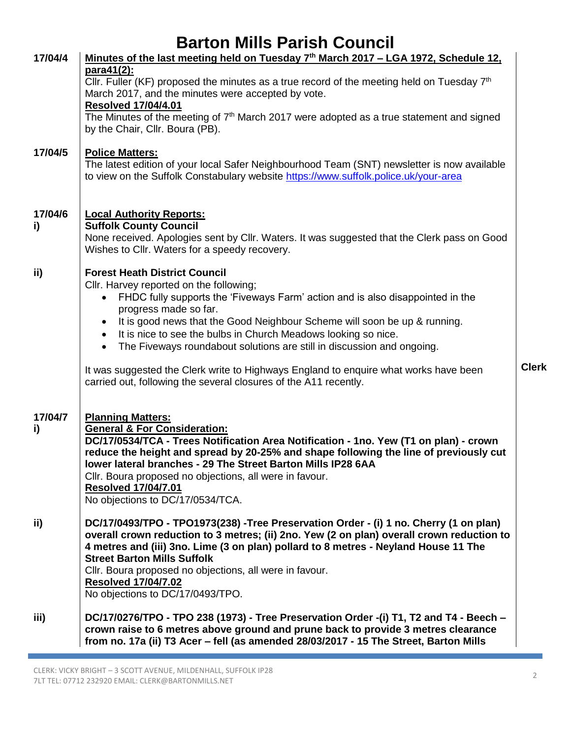| 17/04/4       | <u>Minutes of the last meeting held on Tuesday 7<sup>th</sup> March 2017 – LGA 1972, Schedule 12,</u><br>para41(2):                                                                                                                                                                                                                                                        |              |
|---------------|----------------------------------------------------------------------------------------------------------------------------------------------------------------------------------------------------------------------------------------------------------------------------------------------------------------------------------------------------------------------------|--------------|
|               | Cllr. Fuller (KF) proposed the minutes as a true record of the meeting held on Tuesday $7th$                                                                                                                                                                                                                                                                               |              |
|               | March 2017, and the minutes were accepted by vote.<br><b>Resolved 17/04/4.01</b>                                                                                                                                                                                                                                                                                           |              |
|               | The Minutes of the meeting of 7 <sup>th</sup> March 2017 were adopted as a true statement and signed<br>by the Chair, Cllr. Boura (PB).                                                                                                                                                                                                                                    |              |
| 17/04/5       | <b>Police Matters:</b><br>The latest edition of your local Safer Neighbourhood Team (SNT) newsletter is now available<br>to view on the Suffolk Constabulary website https://www.suffolk.police.uk/your-area                                                                                                                                                               |              |
| 17/04/6       | <b>Local Authority Reports:</b>                                                                                                                                                                                                                                                                                                                                            |              |
| i)            | <b>Suffolk County Council</b><br>None received. Apologies sent by Cllr. Waters. It was suggested that the Clerk pass on Good<br>Wishes to Cllr. Waters for a speedy recovery.                                                                                                                                                                                              |              |
| ii)           | <b>Forest Heath District Council</b>                                                                                                                                                                                                                                                                                                                                       |              |
|               | Cllr. Harvey reported on the following;<br>FHDC fully supports the 'Fiveways Farm' action and is also disappointed in the<br>$\bullet$                                                                                                                                                                                                                                     |              |
|               | progress made so far.                                                                                                                                                                                                                                                                                                                                                      |              |
|               | It is good news that the Good Neighbour Scheme will soon be up & running.<br>٠<br>It is nice to see the bulbs in Church Meadows looking so nice.<br>$\bullet$                                                                                                                                                                                                              |              |
|               | The Fiveways roundabout solutions are still in discussion and ongoing.<br>$\bullet$                                                                                                                                                                                                                                                                                        |              |
|               | It was suggested the Clerk write to Highways England to enquire what works have been<br>carried out, following the several closures of the A11 recently.                                                                                                                                                                                                                   | <b>Clerk</b> |
| 17/04/7<br>i) | <b>Planning Matters:</b><br><b>General &amp; For Consideration:</b>                                                                                                                                                                                                                                                                                                        |              |
|               | DC/17/0534/TCA - Trees Notification Area Notification - 1no. Yew (T1 on plan) - crown<br>reduce the height and spread by 20-25% and shape following the line of previously cut<br>lower lateral branches - 29 The Street Barton Mills IP28 6AA                                                                                                                             |              |
|               | Cllr. Boura proposed no objections, all were in favour.                                                                                                                                                                                                                                                                                                                    |              |
|               | <b>Resolved 17/04/7.01</b><br>No objections to DC/17/0534/TCA.                                                                                                                                                                                                                                                                                                             |              |
| ii)           | DC/17/0493/TPO - TPO1973(238) -Tree Preservation Order - (i) 1 no. Cherry (1 on plan)<br>overall crown reduction to 3 metres; (ii) 2no. Yew (2 on plan) overall crown reduction to<br>4 metres and (iii) 3no. Lime (3 on plan) pollard to 8 metres - Neyland House 11 The<br><b>Street Barton Mills Suffolk</b><br>Cllr. Boura proposed no objections, all were in favour. |              |
|               | <b>Resolved 17/04/7.02</b><br>No objections to DC/17/0493/TPO.                                                                                                                                                                                                                                                                                                             |              |
| iii)          | DC/17/0276/TPO - TPO 238 (1973) - Tree Preservation Order -(i) T1, T2 and T4 - Beech -<br>crown raise to 6 metres above ground and prune back to provide 3 metres clearance<br>from no. 17a (ii) T3 Acer - fell (as amended 28/03/2017 - 15 The Street, Barton Mills                                                                                                       |              |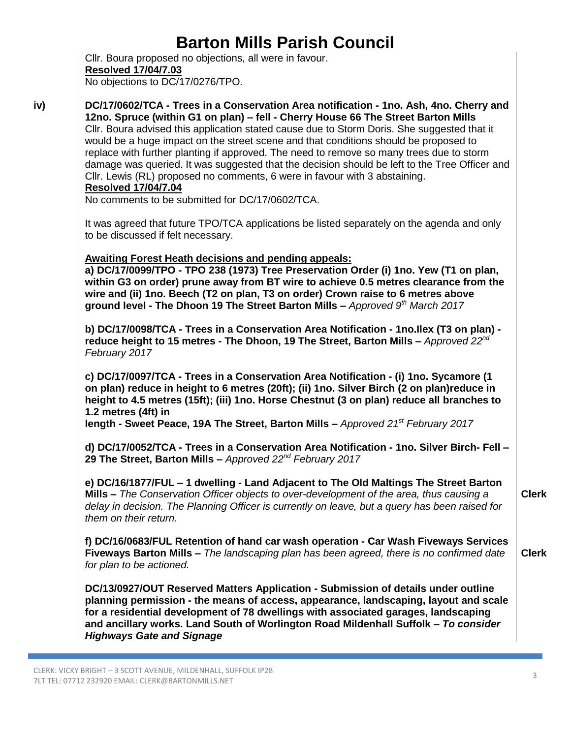Cllr. Boura proposed no objections, all were in favour. **Resolved 17/04/7.03** No objections to DC/17/0276/TPO.

**DC/17/0602/TCA - Trees in a Conservation Area notification - 1no. Ash, 4no. Cherry and 12no. Spruce (within G1 on plan) – fell - Cherry House 66 The Street Barton Mills** Cllr. Boura advised this application stated cause due to Storm Doris. She suggested that it would be a huge impact on the street scene and that conditions should be proposed to replace with further planting if approved. The need to remove so many trees due to storm damage was queried. It was suggested that the decision should be left to the Tree Officer and Cllr. Lewis (RL) proposed no comments, 6 were in favour with 3 abstaining. **Resolved 17/04/7.04** No comments to be submitted for DC/17/0602/TCA.

It was agreed that future TPO/TCA applications be listed separately on the agenda and only to be discussed if felt necessary.

**Awaiting Forest Heath decisions and pending appeals:**

**a) DC/17/0099/TPO - TPO 238 (1973) Tree Preservation Order (i) 1no. Yew (T1 on plan, within G3 on order) prune away from BT wire to achieve 0.5 metres clearance from the wire and (ii) 1no. Beech (T2 on plan, T3 on order) Crown raise to 6 metres above ground level - The Dhoon 19 The Street Barton Mills –** *Approved 9th March 2017*

**b) DC/17/0098/TCA - Trees in a Conservation Area Notification - 1no.Ilex (T3 on plan) reduce height to 15 metres - The Dhoon, 19 The Street, Barton Mills –** *Approved 22nd February 2017*

**c) DC/17/0097/TCA - Trees in a Conservation Area Notification - (i) 1no. Sycamore (1 on plan) reduce in height to 6 metres (20ft); (ii) 1no. Silver Birch (2 on plan)reduce in height to 4.5 metres (15ft); (iii) 1no. Horse Chestnut (3 on plan) reduce all branches to 1.2 metres (4ft) in**

**length - Sweet Peace, 19A The Street, Barton Mills –** *Approved 21st February 2017*

**d) DC/17/0052/TCA - Trees in a Conservation Area Notification - 1no. Silver Birch- Fell – 29 The Street, Barton Mills –** *Approved 22nd February 2017*

**e) DC/16/1877/FUL – 1 dwelling - Land Adjacent to The Old Maltings The Street Barton Mills –** *The Conservation Officer objects to over-development of the area, thus causing a delay in decision. The Planning Officer is currently on leave, but a query has been raised for them on their return.*

**f) DC/16/0683/FUL Retention of hand car wash operation - Car Wash Fiveways Services Fiveways Barton Mills –** *The landscaping plan has been agreed, there is no confirmed date for plan to be actioned.* **Clerk**

**DC/13/0927/OUT Reserved Matters Application - Submission of details under outline planning permission - the means of access, appearance, landscaping, layout and scale for a residential development of 78 dwellings with associated garages, landscaping and ancillary works. Land South of Worlington Road Mildenhall Suffolk –** *To consider Highways Gate and Signage*

**Clerk**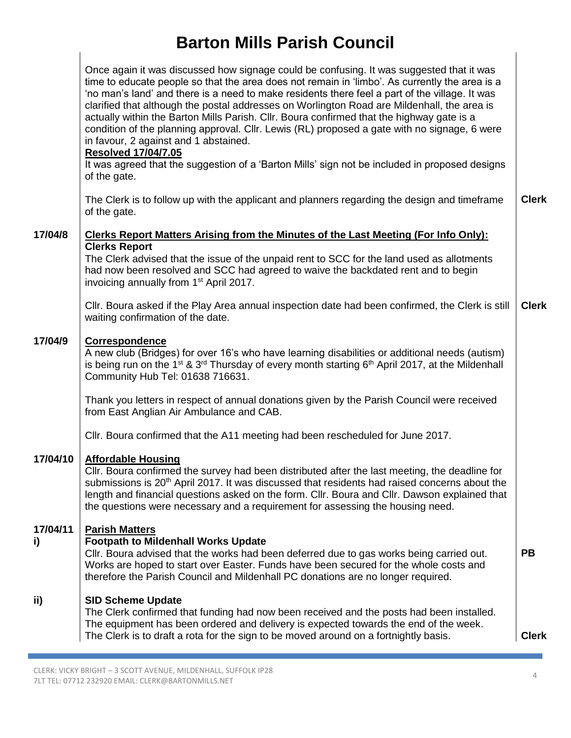|                | Once again it was discussed how signage could be confusing. It was suggested that it was<br>time to educate people so that the area does not remain in 'limbo'. As currently the area is a<br>'no man's land' and there is a need to make residents there feel a part of the village. It was<br>clarified that although the postal addresses on Worlington Road are Mildenhall, the area is<br>actually within the Barton Mills Parish. Cllr. Boura confirmed that the highway gate is a<br>condition of the planning approval. Cllr. Lewis (RL) proposed a gate with no signage, 6 were<br>in favour, 2 against and 1 abstained.<br><b>Resolved 17/04/7.05</b><br>It was agreed that the suggestion of a 'Barton Mills' sign not be included in proposed designs<br>of the gate. |              |  |  |  |
|----------------|-----------------------------------------------------------------------------------------------------------------------------------------------------------------------------------------------------------------------------------------------------------------------------------------------------------------------------------------------------------------------------------------------------------------------------------------------------------------------------------------------------------------------------------------------------------------------------------------------------------------------------------------------------------------------------------------------------------------------------------------------------------------------------------|--------------|--|--|--|
|                | The Clerk is to follow up with the applicant and planners regarding the design and timeframe<br>of the gate.                                                                                                                                                                                                                                                                                                                                                                                                                                                                                                                                                                                                                                                                      | <b>Clerk</b> |  |  |  |
| 17/04/8        | Clerks Report Matters Arising from the Minutes of the Last Meeting (For Info Only):                                                                                                                                                                                                                                                                                                                                                                                                                                                                                                                                                                                                                                                                                               |              |  |  |  |
|                | <b>Clerks Report</b><br>The Clerk advised that the issue of the unpaid rent to SCC for the land used as allotments<br>had now been resolved and SCC had agreed to waive the backdated rent and to begin<br>invoicing annually from 1 <sup>st</sup> April 2017.                                                                                                                                                                                                                                                                                                                                                                                                                                                                                                                    |              |  |  |  |
|                | CIIr. Boura asked if the Play Area annual inspection date had been confirmed, the Clerk is still<br>waiting confirmation of the date.                                                                                                                                                                                                                                                                                                                                                                                                                                                                                                                                                                                                                                             | <b>Clerk</b> |  |  |  |
| 17/04/9        | Correspondence<br>A new club (Bridges) for over 16's who have learning disabilities or additional needs (autism)<br>is being run on the 1 <sup>st</sup> & 3 <sup>rd</sup> Thursday of every month starting 6 <sup>th</sup> April 2017, at the Mildenhall<br>Community Hub Tel: 01638 716631.                                                                                                                                                                                                                                                                                                                                                                                                                                                                                      |              |  |  |  |
|                | Thank you letters in respect of annual donations given by the Parish Council were received<br>from East Anglian Air Ambulance and CAB.                                                                                                                                                                                                                                                                                                                                                                                                                                                                                                                                                                                                                                            |              |  |  |  |
|                | CIIr. Boura confirmed that the A11 meeting had been rescheduled for June 2017.                                                                                                                                                                                                                                                                                                                                                                                                                                                                                                                                                                                                                                                                                                    |              |  |  |  |
| 17/04/10       | <b>Affordable Housing</b><br>Cllr. Boura confirmed the survey had been distributed after the last meeting, the deadline for<br>submissions is 20 <sup>th</sup> April 2017. It was discussed that residents had raised concerns about the<br>length and financial questions asked on the form. Cllr. Boura and Cllr. Dawson explained that<br>the questions were necessary and a requirement for assessing the housing need.                                                                                                                                                                                                                                                                                                                                                       |              |  |  |  |
| 17/04/11<br>i) | <b>Parish Matters</b><br><b>Footpath to Mildenhall Works Update</b><br>CIIr. Boura advised that the works had been deferred due to gas works being carried out.<br>Works are hoped to start over Easter. Funds have been secured for the whole costs and<br>therefore the Parish Council and Mildenhall PC donations are no longer required.                                                                                                                                                                                                                                                                                                                                                                                                                                      | <b>PB</b>    |  |  |  |
| ii)            | <b>SID Scheme Update</b><br>The Clerk confirmed that funding had now been received and the posts had been installed.<br>The equipment has been ordered and delivery is expected towards the end of the week.<br>The Clerk is to draft a rota for the sign to be moved around on a fortnightly basis.                                                                                                                                                                                                                                                                                                                                                                                                                                                                              | <b>Clerk</b> |  |  |  |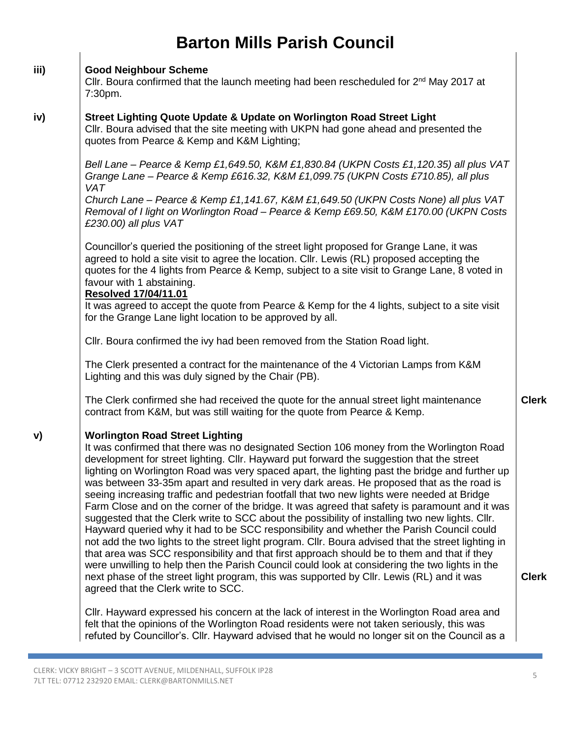#### **iii) Good Neighbour Scheme**

Cllr. Boura confirmed that the launch meeting had been rescheduled for  $2<sup>nd</sup>$  May 2017 at 7:30pm.

#### **iv) Street Lighting Quote Update & Update on Worlington Road Street Light**

Cllr. Boura advised that the site meeting with UKPN had gone ahead and presented the quotes from Pearce & Kemp and K&M Lighting;

*Bell Lane – Pearce & Kemp £1,649.50, K&M £1,830.84 (UKPN Costs £1,120.35) all plus VAT Grange Lane – Pearce & Kemp £616.32, K&M £1,099.75 (UKPN Costs £710.85), all plus VAT*

*Church Lane – Pearce & Kemp £1,141.67, K&M £1,649.50 (UKPN Costs None) all plus VAT Removal of I light on Worlington Road – Pearce & Kemp £69.50, K&M £170.00 (UKPN Costs £230.00) all plus VAT*

Councillor's queried the positioning of the street light proposed for Grange Lane, it was agreed to hold a site visit to agree the location. Cllr. Lewis (RL) proposed accepting the quotes for the 4 lights from Pearce & Kemp, subject to a site visit to Grange Lane, 8 voted in favour with 1 abstaining.

### **Resolved 17/04/11.01**

It was agreed to accept the quote from Pearce & Kemp for the 4 lights, subject to a site visit for the Grange Lane light location to be approved by all.

Cllr. Boura confirmed the ivy had been removed from the Station Road light.

The Clerk presented a contract for the maintenance of the 4 Victorian Lamps from K&M Lighting and this was duly signed by the Chair (PB).

The Clerk confirmed she had received the quote for the annual street light maintenance contract from K&M, but was still waiting for the quote from Pearce & Kemp.

#### **v) Worlington Road Street Lighting**

It was confirmed that there was no designated Section 106 money from the Worlington Road development for street lighting. Cllr. Hayward put forward the suggestion that the street lighting on Worlington Road was very spaced apart, the lighting past the bridge and further up was between 33-35m apart and resulted in very dark areas. He proposed that as the road is seeing increasing traffic and pedestrian footfall that two new lights were needed at Bridge Farm Close and on the corner of the bridge. It was agreed that safety is paramount and it was suggested that the Clerk write to SCC about the possibility of installing two new lights. Cllr. Hayward queried why it had to be SCC responsibility and whether the Parish Council could not add the two lights to the street light program. Cllr. Boura advised that the street lighting in that area was SCC responsibility and that first approach should be to them and that if they were unwilling to help then the Parish Council could look at considering the two lights in the next phase of the street light program, this was supported by Cllr. Lewis (RL) and it was agreed that the Clerk write to SCC.

Cllr. Hayward expressed his concern at the lack of interest in the Worlington Road area and felt that the opinions of the Worlington Road residents were not taken seriously, this was refuted by Councillor's. Cllr. Hayward advised that he would no longer sit on the Council as a **Clerk**

**Clerk**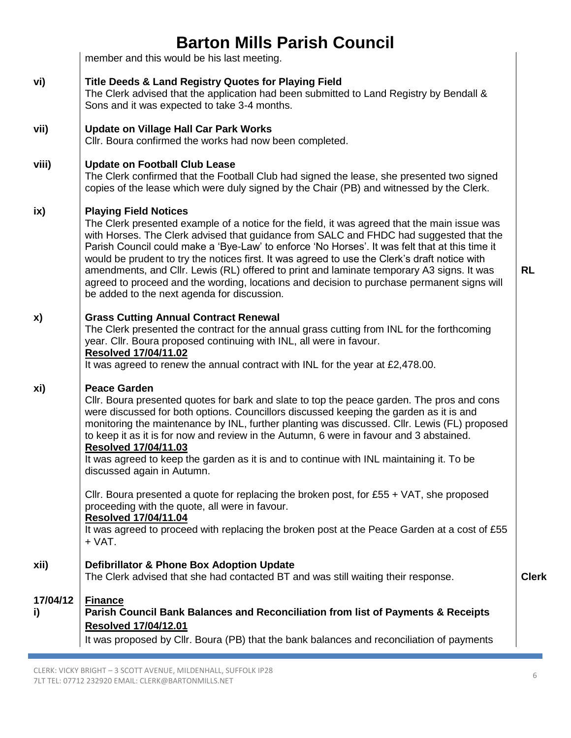member and this would be his last meeting.

### **vi) Title Deeds & Land Registry Quotes for Playing Field**

The Clerk advised that the application had been submitted to Land Registry by Bendall & Sons and it was expected to take 3-4 months.

#### **vii) Update on Village Hall Car Park Works**

Cllr. Boura confirmed the works had now been completed.

#### **viii) Update on Football Club Lease**

The Clerk confirmed that the Football Club had signed the lease, she presented two signed copies of the lease which were duly signed by the Chair (PB) and witnessed by the Clerk.

#### **ix) Playing Field Notices**

The Clerk presented example of a notice for the field, it was agreed that the main issue was with Horses. The Clerk advised that guidance from SALC and FHDC had suggested that the Parish Council could make a 'Bye-Law' to enforce 'No Horses'. It was felt that at this time it would be prudent to try the notices first. It was agreed to use the Clerk's draft notice with amendments, and Cllr. Lewis (RL) offered to print and laminate temporary A3 signs. It was agreed to proceed and the wording, locations and decision to purchase permanent signs will be added to the next agenda for discussion.

#### **x) Grass Cutting Annual Contract Renewal**

The Clerk presented the contract for the annual grass cutting from INL for the forthcoming year. Cllr. Boura proposed continuing with INL, all were in favour.

### **Resolved 17/04/11.02**

It was agreed to renew the annual contract with INL for the year at £2,478.00.

#### **xi) Peace Garden**

Cllr. Boura presented quotes for bark and slate to top the peace garden. The pros and cons were discussed for both options. Councillors discussed keeping the garden as it is and monitoring the maintenance by INL, further planting was discussed. Cllr. Lewis (FL) proposed to keep it as it is for now and review in the Autumn, 6 were in favour and 3 abstained. **Resolved 17/04/11.03**

It was agreed to keep the garden as it is and to continue with INL maintaining it. To be discussed again in Autumn.

Cllr. Boura presented a quote for replacing the broken post, for  $£55 + \sqrt{AT}$ , she proposed proceeding with the quote, all were in favour.

### **Resolved 17/04/11.04**

It was agreed to proceed with replacing the broken post at the Peace Garden at a cost of £55 + VAT.

#### **xii) Defibrillator & Phone Box Adoption Update**

The Clerk advised that she had contacted BT and was still waiting their response.

**Clerk**

**RL**

### **17/04/12 i) Finance Parish Council Bank Balances and Reconciliation from list of Payments & Receipts Resolved 17/04/12.01**

It was proposed by Cllr. Boura (PB) that the bank balances and reconciliation of payments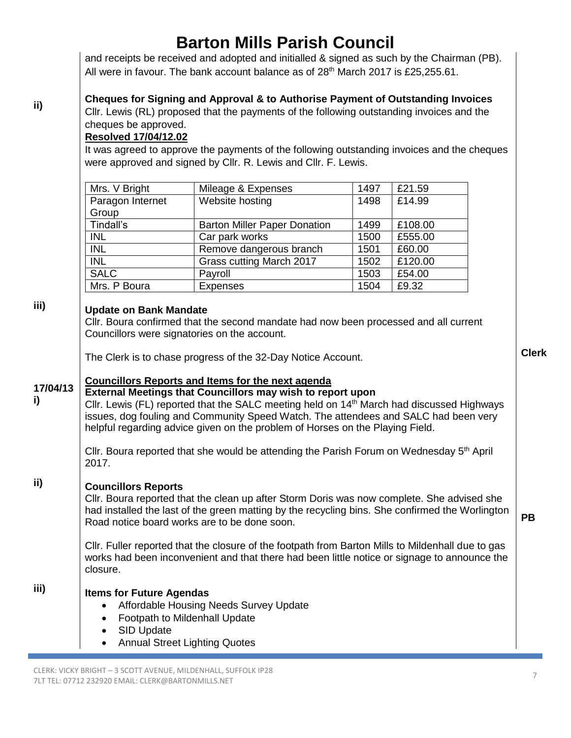and receipts be received and adopted and initialled & signed as such by the Chairman (PB). All were in favour. The bank account balance as of  $28<sup>th</sup>$  March 2017 is £25,255.61.

## **Cheques for Signing and Approval & to Authorise Payment of Outstanding Invoices**

Cllr. Lewis (RL) proposed that the payments of the following outstanding invoices and the cheques be approved.

### **Resolved 17/04/12.02**

It was agreed to approve the payments of the following outstanding invoices and the cheques were approved and signed by Cllr. R. Lewis and Cllr. F. Lewis.

| Mrs. V Bright    | Mileage & Expenses                  | 1497 | £21.59  |
|------------------|-------------------------------------|------|---------|
| Paragon Internet | Website hosting                     | 1498 | £14.99  |
| Group            |                                     |      |         |
| Tindall's        | <b>Barton Miller Paper Donation</b> | 1499 | £108.00 |
| <b>INL</b>       | Car park works                      | 1500 | £555.00 |
| <b>INL</b>       | Remove dangerous branch             | 1501 | £60.00  |
| <b>INL</b>       | Grass cutting March 2017            | 1502 | £120.00 |
| <b>SALC</b>      | Payroll                             | 1503 | £54.00  |
| Mrs. P Boura     | <b>Expenses</b>                     | 1504 | £9.32   |

**iii)**

**i)**

**ii)**

### **Update on Bank Mandate**

Cllr. Boura confirmed that the second mandate had now been processed and all current Councillors were signatories on the account.

The Clerk is to chase progress of the 32-Day Notice Account.

## **Councillors Reports and Items for the next agenda**

**17/04/13 External Meetings that Councillors may wish to report upon**

Cllr. Lewis (FL) reported that the SALC meeting held on 14<sup>th</sup> March had discussed Highways issues, dog fouling and Community Speed Watch. The attendees and SALC had been very helpful regarding advice given on the problem of Horses on the Playing Field.

Cllr. Boura reported that she would be attending the Parish Forum on Wednesday  $5<sup>th</sup>$  April 2017.

### **ii) Councillors Reports**

Cllr. Boura reported that the clean up after Storm Doris was now complete. She advised she had installed the last of the green matting by the recycling bins. She confirmed the Worlington Road notice board works are to be done soon.

Cllr. Fuller reported that the closure of the footpath from Barton Mills to Mildenhall due to gas works had been inconvenient and that there had been little notice or signage to announce the closure.

**iii) Items for Future Agendas**

- Affordable Housing Needs Survey Update
- Footpath to Mildenhall Update
- SID Update
- Annual Street Lighting Quotes

**Clerk**

**PB**